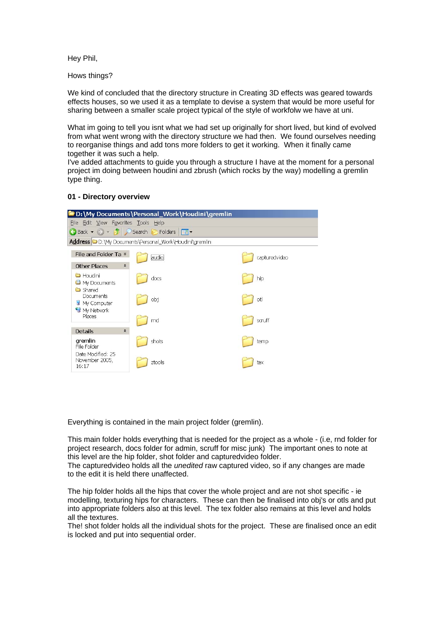Hey Phil,

Hows things?

We kind of concluded that the directory structure in Creating 3D effects was geared towards effects houses, so we used it as a template to devise a system that would be more useful for sharing between a smaller scale project typical of the style of workfolw we have at uni.

What im going to tell you isnt what we had set up originally for short lived, but kind of evolved from what went wrong with the directory structure we had then. We found ourselves needing to reorganise things and add tons more folders to get it working. When it finally came together it was such a help.

I've added attachments to guide you through a structure I have at the moment for a personal project im doing between houdini and zbrush (which rocks by the way) modelling a gremlin type thing.

### **01 - Directory overview**

| D:\My Documents\Personal_Work\Houdini\gremlin         |        |  |               |
|-------------------------------------------------------|--------|--|---------------|
| Eile Edit View Favorites Tools Help                   |        |  |               |
| G Back ▼ → ▼ → D Search B Folders   HI  ▼             |        |  |               |
| Address D:\My Documents\Personal_Work\Houdini\gremlin |        |  |               |
| File and Folder Ta *                                  | audio  |  | capturedvideo |
| <b>Other Places</b><br>$\hat{\mathbf{x}}$             |        |  |               |
| <b>C</b> Houdini<br>My Documents                      | docs   |  | hip           |
| <b>C</b> Shared<br>Documents<br>My Computer           | obj    |  | otl           |
| My Network<br>Places                                  | rnd    |  | scruff        |
| <b>Details</b><br>$\hat{\mathbf{x}}$                  |        |  |               |
| gremlin<br>File Folder                                | shots  |  | temp          |
| Date Modified: 25<br>November 2005,<br>16:17          | ztools |  | tex           |

Everything is contained in the main project folder (gremlin).

This main folder holds everything that is needed for the project as a whole - (i.e, rnd folder for project research, docs folder for admin, scruff for misc junk) The important ones to note at this level are the hip folder, shot folder and capturedvideo folder.

The capturedvideo holds all the *unedited* raw captured video, so if any changes are made to the edit it is held there unaffected.

The hip folder holds all the hips that cover the whole project and are not shot specific - ie modelling, texturing hips for characters. These can then be finalised into obj's or otls and put into appropriate folders also at this level. The tex folder also remains at this level and holds all the textures.

The! shot folder holds all the individual shots for the project. These are finalised once an edit is locked and put into sequential order.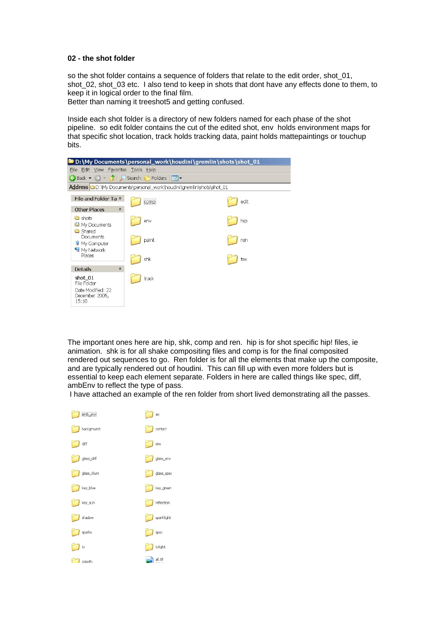#### **02 - the shot folder**

so the shot folder contains a sequence of folders that relate to the edit order, shot\_01, shot 02, shot 03 etc. I also tend to keep in shots that dont have any effects done to them, to keep it in logical order to the final film.

Better than naming it treeshot5 and getting confused.

Inside each shot folder is a directory of new folders named for each phase of the shot pipeline. so edit folder contains the cut of the edited shot, env holds environment maps for that specific shot location, track holds tracking data, paint holds mattepaintings or touchup bits.



The important ones here are hip, shk, comp and ren. hip is for shot specific hip! files, ie animation. shk is for all shake compositing files and comp is for the final composited rendered out sequences to go. Ren folder is for all the elements that make up the composite, and are typically rendered out of houdini. This can fill up with even more folders but is essential to keep each element separate. Folders in here are called things like spec, diff, ambEnv to reflect the type of pass.

I have attached an example of the ren folder from short lived demonstrating all the passes.

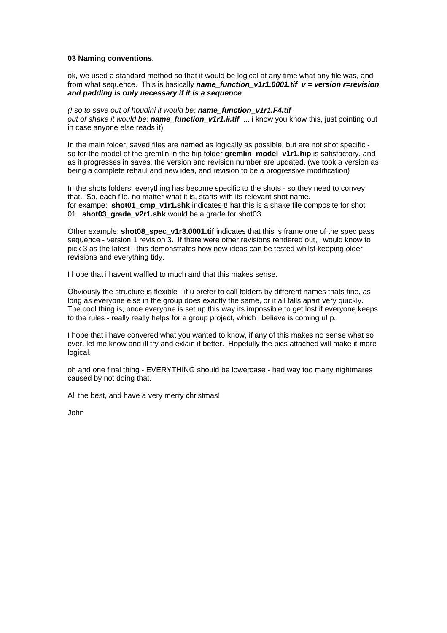### **03 Naming conventions.**

ok, we used a standard method so that it would be logical at any time what any file was, and from what sequence. This is basically *name\_function\_v1r1.0001.tif v = version r=revision and padding is only necessary if it is a sequence*

*(! so to save out of houdini it would be: name\_function\_v1r1.F4.tif out of shake it would be: name\_function\_v1r1.#.tif* ... i know you know this, just pointing out in case anyone else reads it)

In the main folder, saved files are named as logically as possible, but are not shot specific so for the model of the gremlin in the hip folder **gremlin** model v1r1.hip is satisfactory, and as it progresses in saves, the version and revision number are updated. (we took a version as being a complete rehaul and new idea, and revision to be a progressive modification)

In the shots folders, everything has become specific to the shots - so they need to convey that. So, each file, no matter what it is, starts with its relevant shot name. for exampe: **shot01** cmp\_v1r1.shk indicates t! hat this is a shake file composite for shot 01. **shot03\_grade\_v2r1.shk** would be a grade for shot03.

Other example: **shot08\_spec\_v1r3.0001.tif** indicates that this is frame one of the spec pass sequence - version 1 revision 3. If there were other revisions rendered out, i would know to pick 3 as the latest - this demonstrates how new ideas can be tested whilst keeping older revisions and everything tidy.

I hope that i havent waffled to much and that this makes sense.

Obviously the structure is flexible - if u prefer to call folders by different names thats fine, as long as everyone else in the group does exactly the same, or it all falls apart very quickly. The cool thing is, once everyone is set up this way its impossible to get lost if everyone keeps to the rules - really really helps for a group project, which i believe is coming u! p.

I hope that i have convered what you wanted to know, if any of this makes no sense what so ever, let me know and ill try and exlain it better. Hopefully the pics attached will make it more logical.

oh and one final thing - EVERYTHING should be lowercase - had way too many nightmares caused by not doing that.

All the best, and have a very merry christmas!

John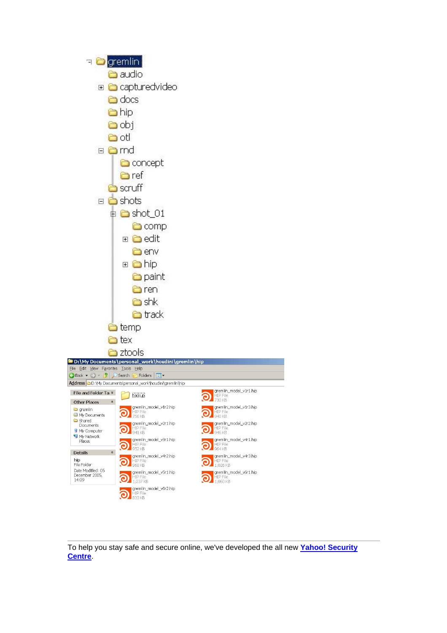

To help you stay safe and secure online, we've developed the all new **[Yahoo! Security](http://us.rd.yahoo.com/mail/uk/taglines/default/security_centre/*http:/uk.security.yahoo.com/) [Centre](http://us.rd.yahoo.com/mail/uk/taglines/default/security_centre/*http:/uk.security.yahoo.com/)**.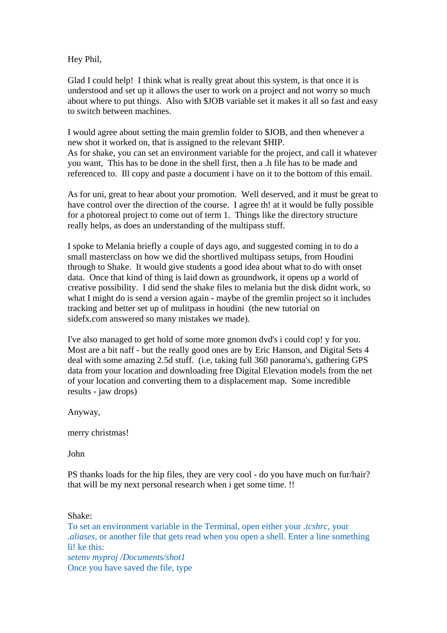Hey Phil,

Glad I could help! I think what is really great about this system, is that once it is understood and set up it allows the user to work on a project and not worry so much about where to put things. Also with \$JOB variable set it makes it all so fast and easy to switch between machines.

I would agree about setting the main gremlin folder to \$JOB, and then whenever a new shot it worked on, that is assigned to the relevant \$HIP. As for shake, you can set an environment variable for the project, and call it whatever you want, This has to be done in the shell first, then a .h file has to be made and referenced to. Ill copy and paste a document i have on it to the bottom of this email.

As for uni, great to hear about your promotion. Well deserved, and it must be great to have control over the direction of the course. I agree th! at it would be fully possible for a photoreal project to come out of term 1. Things like the directory structure really helps, as does an understanding of the multipass stuff.

I spoke to Melania briefly a couple of days ago, and suggested coming in to do a small masterclass on how we did the shortlived multipass setups, from Houdini through to Shake. It would give students a good idea about what to do with onset data. Once that kind of thing is laid down as groundwork, it opens up a world of creative possibility. I did send the shake files to melania but the disk didnt work, so what I might do is send a version again - maybe of the gremlin project so it includes tracking and better set up of mulitpass in houdini (the new tutorial on sidefx.com answered so many mistakes we made).

I've also managed to get hold of some more gnomon dvd's i could cop! y for you. Most are a bit naff - but the really good ones are by Eric Hanson, and Digital Sets 4 deal with some amazing 2.5d stuff. (i.e, taking full 360 panorama's, gathering GPS data from your location and downloading free Digital Elevation models from the net of your location and converting them to a displacement map. Some incredible results - jaw drops)

Anyway,

merry christmas!

John

PS thanks loads for the hip files, they are very cool - do you have much on fur/hair? that will be my next personal research when i get some time. !!

Shake: To set an environment variable in the Terminal, open either your *.tcshrc*, your *.aliases*, or another file that gets read when you open a shell. Enter a line something li! ke this: *setenv myproj /Documents/shot1* Once you have saved the file, type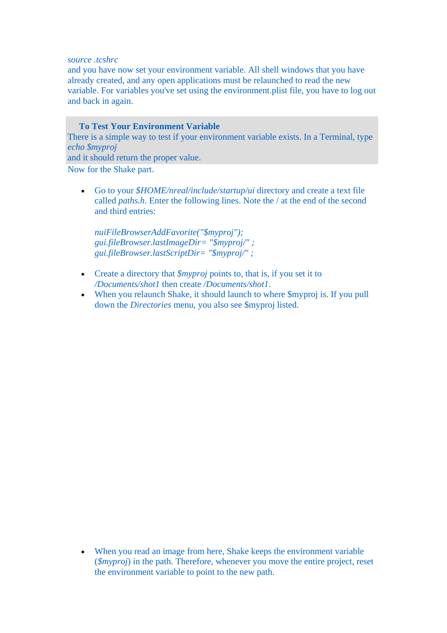## *source .tcshrc*

and you have now set your environment variable. All shell windows that you have already created, and any open applications must be relaunched to read the new variable. For variables you've set using the environment.plist file, you have to log out and back in again.

**To Test Your Environment Variable** There is a simple way to test if your environment variable exists. In a Terminal, type *echo \$myproj* and it should return the proper value. Now for the Shake part.

• Go to your *\$HOME/nreal/include/startup/ui* directory and create a text file called *paths.h*. Enter the following lines. Note the / at the end of the second and third entries:

*nuiFileBrowserAddFavorite("\$myproj"); gui.fileBrowser.lastImageDir= "\$myproj/" ; gui.fileBrowser.lastScriptDir= "\$myproj/" ;* 

- Create a directory that *\$myproj* points to, that is, if you set it to */Documents/shot1* then create */Documents/shot1*.
- When you relaunch Shake, it should launch to where  $\gamma$  is. If you pull down the *Directories* menu, you also see \$myproj listed.

• When you read an image from here, Shake keeps the environment variable (*\$myproj*) in the path. Therefore, whenever you move the entire project, reset the environment variable to point to the new path.